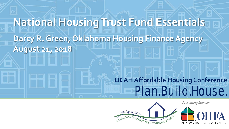# **National Housing Trust Fund Essentials Darcy R. Green, Oklahoma Housing Finance Agency August 21, 2018**

### **OCAH Affordable Housing Conference** Plan.Build.House.



*Presenting Sponsor*

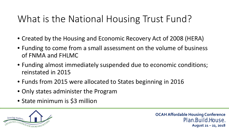## What is the National Housing Trust Fund?

- Created by the Housing and Economic Recovery Act of 2008 (HERA)
- Funding to come from a small assessment on the volume of business of FNMA and FHLMC
- Funding almost immediately suspended due to economic conditions; reinstated in 2015
- Funds from 2015 were allocated to States beginning in 2016
- Only states administer the Program
- State minimum is \$3 million

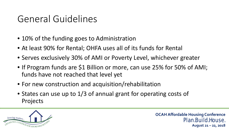## General Guidelines

- 10% of the funding goes to Administration
- At least 90% for Rental; OHFA uses all of its funds for Rental
- Serves exclusively 30% of AMI or Poverty Level, whichever greater
- If Program funds are \$1 Billion or more, can use 25% for 50% of AMI; funds have not reached that level yet
- For new construction and acquisition/rehabilitation
- States can use up to 1/3 of annual grant for operating costs of Projects

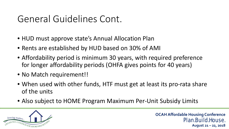## General Guidelines Cont.

- HUD must approve state's Annual Allocation Plan
- Rents are established by HUD based on 30% of AMI
- Affordability period is minimum 30 years, with required preference for longer affordability periods (OHFA gives points for 40 years)
- No Match requirement!!
- When used with other funds, HTF must get at least its pro-rata share of the units
- Also subject to HOME Program Maximum Per-Unit Subsidy Limits

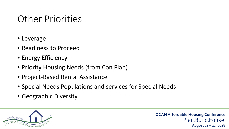#### Other Priorities

- Leverage
- Readiness to Proceed
- Energy Efficiency
- Priority Housing Needs (from Con Plan)
- Project-Based Rental Assistance
- Special Needs Populations and services for Special Needs
- Geographic Diversity

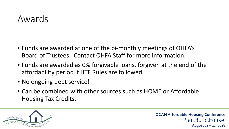#### Awards

- Funds are awarded at one of the bi-monthly meetings of OHFA's Board of Trustees. Contact OHFA Staff for more information.
- Funds are awarded as 0% forgivable loans, forgiven at the end of the affordability period if HTF Rules are followed.
- No ongoing debt service!
- Can be combined with other sources such as HOME or Affordable Housing Tax Credits.